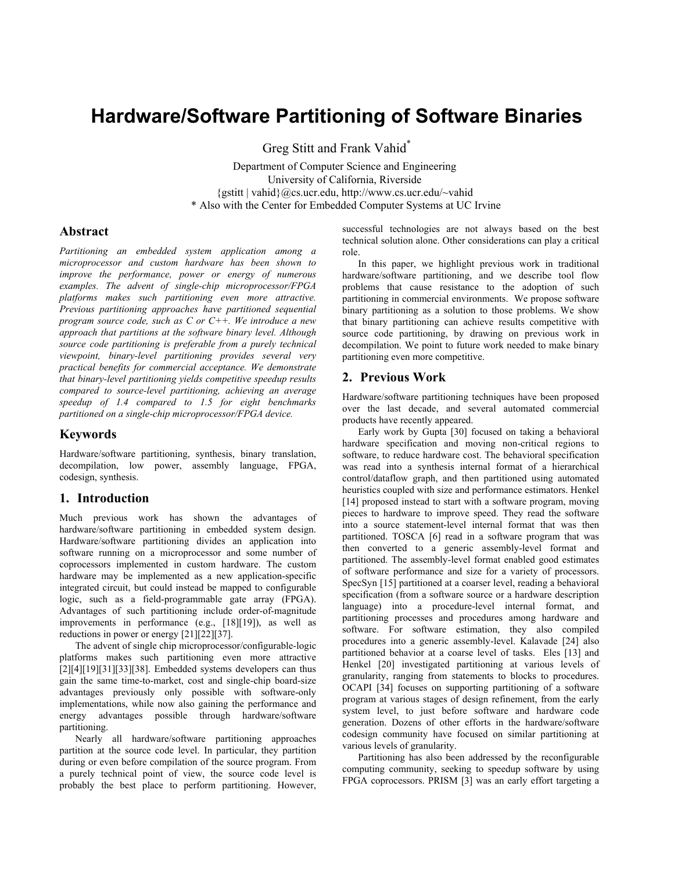# **Hardware/Software Partitioning of Software Binaries**

Greg Stitt and Frank Vahid\*

Department of Computer Science and Engineering University of California, Riverside {gstitt | vahid}@cs.ucr.edu, http://www.cs.ucr.edu/~vahid \* Also with the Center for Embedded Computer Systems at UC Irvine

## **Abstract**

*Partitioning an embedded system application among a microprocessor and custom hardware has been shown to improve the performance, power or energy of numerous examples. The advent of single-chip microprocessor/FPGA platforms makes such partitioning even more attractive. Previous partitioning approaches have partitioned sequential program source code, such as C or C++. We introduce a new approach that partitions at the software binary level. Although source code partitioning is preferable from a purely technical viewpoint, binary-level partitioning provides several very practical benefits for commercial acceptance. We demonstrate that binary-level partitioning yields competitive speedup results compared to source-level partitioning, achieving an average speedup of 1.4 compared to 1.5 for eight benchmarks partitioned on a single-chip microprocessor/FPGA device.* 

## **Keywords**

Hardware/software partitioning, synthesis, binary translation, decompilation, low power, assembly language, FPGA, codesign, synthesis.

#### **1. Introduction**

Much previous work has shown the advantages of hardware/software partitioning in embedded system design. Hardware/software partitioning divides an application into software running on a microprocessor and some number of coprocessors implemented in custom hardware. The custom hardware may be implemented as a new application-specific integrated circuit, but could instead be mapped to configurable logic, such as a field-programmable gate array (FPGA). Advantages of such partitioning include order-of-magnitude improvements in performance (e.g., [\[18\]](#page-6-0)[\[19\]\)](#page-6-1), as well as reductions in power or energy [\[21\]](#page-6-2)[\[22\]](#page-6-3)[\[37\].](#page-6-4)

The advent of single chip microprocessor/configurable-logic platforms makes such partitioning even more attractive  $[2][4][19][31][33][38]$  $[2][4][19][31][33][38]$  $[2][4][19][31][33][38]$  $[2][4][19][31][33][38]$  $[2][4][19][31][33][38]$  $[2][4][19][31][33][38]$ . Embedded systems developers can thus gain the same time-to-market, cost and single-chip board-size advantages previously only possible with software-only implementations, while now also gaining the performance and energy advantages possible through hardware/software partitioning.

Nearly all hardware/software partitioning approaches partition at the source code level. In particular, they partition during or even before compilation of the source program. From a purely technical point of view, the source code level is probably the best place to perform partitioning. However, successful technologies are not always based on the best technical solution alone. Other considerations can play a critical role.

In this paper, we highlight previous work in traditional hardware/software partitioning, and we describe tool flow problems that cause resistance to the adoption of such partitioning in commercial environments. We propose software binary partitioning as a solution to those problems. We show that binary partitioning can achieve results competitive with source code partitioning, by drawing on previous work in decompilation. We point to future work needed to make binary partitioning even more competitive.

### **2. Previous Work**

Hardware/software partitioning techniques have been proposed over the last decade, and several automated commercial products have recently appeared.

Early work by Gupta [\[30\]](#page-6-9) focused on taking a behavioral hardware specification and moving non-critical regions to software, to reduce hardware cost. The behavioral specification was read into a synthesis internal format of a hierarchical control/dataflow graph, and then partitioned using automated heuristics coupled with size and performance estimators. Henkel [\[14\]](#page-6-10) proposed instead to start with a software program, moving pieces to hardware to improve speed. They read the software into a source statement-level internal format that was then partitioned. TOSCA [\[6\]](#page-6-11) read in a software program that was then converted to a generic assembly-level format and partitioned. The assembly-level format enabled good estimates of software performance and size for a variety of processors. SpecSyn [\[15\]](#page-6-12) partitioned at a coarser level, reading a behavioral specification (from a software source or a hardware description language) into a procedure-level internal format, and partitioning processes and procedures among hardware and software. For software estimation, they also compiled procedures into a generic assembly-level. Kalavade [\[24\]](#page-6-13) also partitioned behavior at a coarse level of tasks. Eles [\[13\]](#page-6-14) and Henkel [\[20\]](#page-6-15) investigated partitioning at various levels of granularity, ranging from statements to blocks to procedures. OCAPI [\[34\]](#page-6-16) focuses on supporting partitioning of a software program at various stages of design refinement, from the early system level, to just before software and hardware code generation. Dozens of other efforts in the hardware/software codesign community have focused on similar partitioning at various levels of granularity.

Partitioning has also been addressed by the reconfigurable computing community, seeking to speedup software by using FPGA coprocessors. PRISM [\[3\] w](#page-6-17)as an early effort targeting a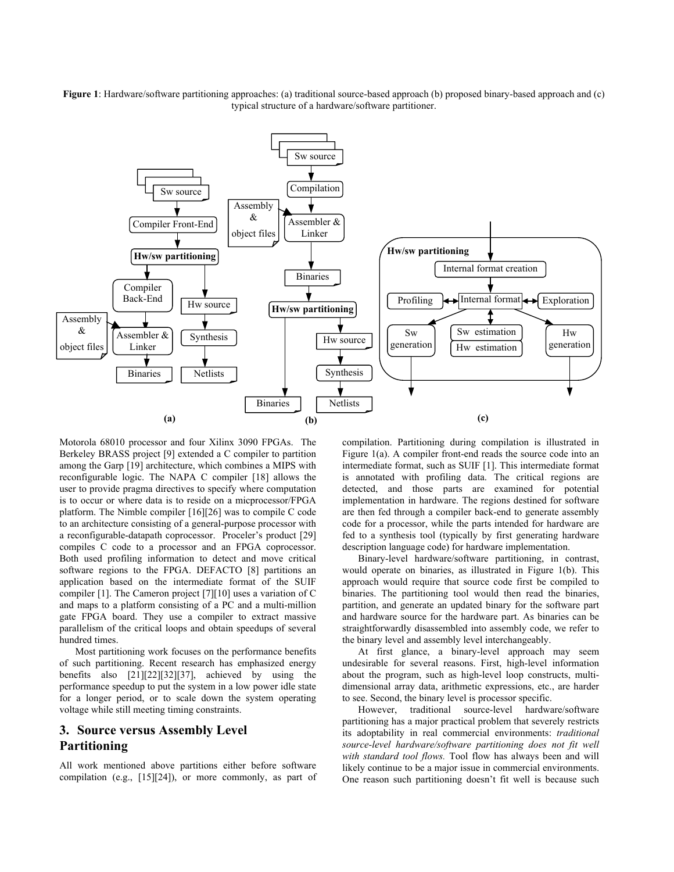<span id="page-1-0"></span>**Figure 1**: Hardware/software partitioning approaches: (a) traditional source-based approach (b) proposed binary-based approach and (c) typical structure of a hardware/software partitioner.



Motorola 68010 processor and four Xilinx 3090 FPGAs. The Berkeley BRASS project [\[9\]](#page-6-18) extended a C compiler to partition among the Garp [\[19\]](#page-6-1) architecture, which combines a MIPS with reconfigurable logic. The NAPA C compiler [\[18\]](#page-6-0) allows the user to provide pragma directives to specify where computation is to occur or where data is to reside on a micprocessor/FPGA platform. The Nimble compiler [\[16\]](#page-6-19)[\[26\]](#page-6-20) was to compile C code to an architecture consisting of a general-purpose processor with a reconfigurable-datapath coprocessor. Proceler's product [\[29\]](#page-6-21) compiles C code to a processor and an FPGA coprocessor. Both used profiling information to detect and move critical software regions to the FPGA. DEFACTO [\[8\]](#page-6-22) partitions an application based on the intermediate format of the SUIF compiler [\[1\].](#page-5-1) The Cameron project [\[7\]](#page-6-23)[\[10\]](#page-6-24) uses a variation of C and maps to a platform consisting of a PC and a multi-million gate FPGA board. They use a compiler to extract massive parallelism of the critical loops and obtain speedups of several hundred times.

Most partitioning work focuses on the performance benefits of such partitioning. Recent research has emphasized energy benefits also [\[21\]](#page-6-2)[\[22\]](#page-6-3)[\[32\]](#page-6-25)[\[37\],](#page-6-4) achieved by using the performance speedup to put the system in a low power idle state for a longer period, or to scale down the system operating voltage while still meeting timing constraints.

# **3. Source versus Assembly Level Partitioning**

All work mentioned above partitions either before software compilation (e.g., [\[15\]](#page-6-12)[\[24\]\)](#page-6-13), or more commonly, as part of compilation. Partitioning during compilation is illustrated in [Figure 1\(](#page-1-0)a). A compiler front-end reads the source code into an intermediate format, such as SUIF [\[1\].](#page-5-1) This intermediate format is annotated with profiling data. The critical regions are detected, and those parts are examined for potential implementation in hardware. The regions destined for software are then fed through a compiler back-end to generate assembly code for a processor, while the parts intended for hardware are fed to a synthesis tool (typically by first generating hardware description language code) for hardware implementation.

Binary-level hardware/software partitioning, in contrast, would operate on binaries, as illustrated in [Figure 1\(](#page-1-0)b). This approach would require that source code first be compiled to binaries. The partitioning tool would then read the binaries, partition, and generate an updated binary for the software part and hardware source for the hardware part. As binaries can be straightforwardly disassembled into assembly code, we refer to the binary level and assembly level interchangeably.

At first glance, a binary-level approach may seem undesirable for several reasons. First, high-level information about the program, such as high-level loop constructs, multidimensional array data, arithmetic expressions, etc., are harder to see. Second, the binary level is processor specific.

However, traditional source-level hardware/software partitioning has a major practical problem that severely restricts its adoptability in real commercial environments: *traditional source-level hardware/software partitioning does not fit well with standard tool flows.* Tool flow has always been and will likely continue to be a major issue in commercial environments. One reason such partitioning doesn't fit well is because such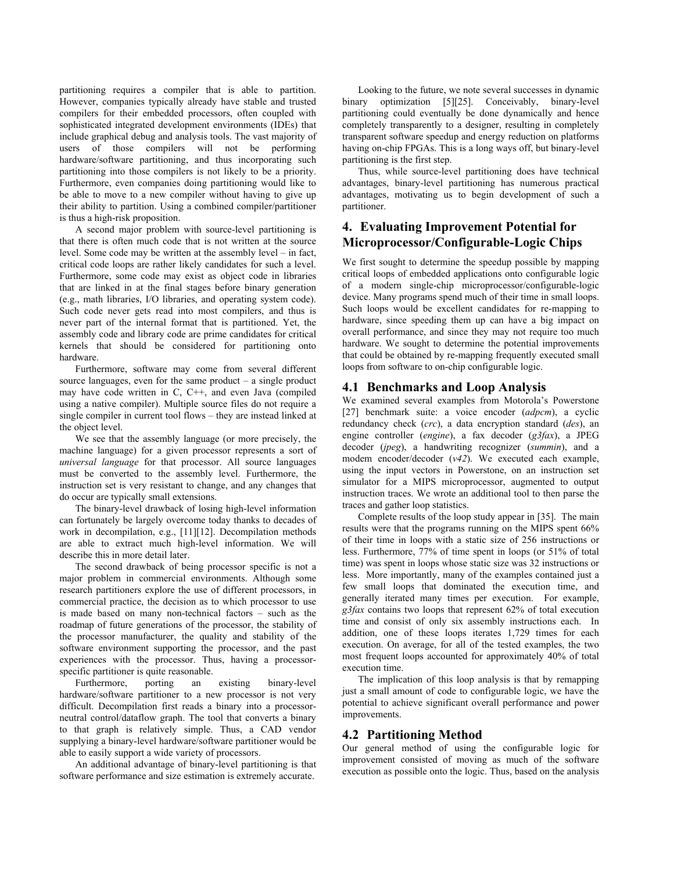partitioning requires a compiler that is able to partition. However, companies typically already have stable and trusted compilers for their embedded processors, often coupled with sophisticated integrated development environments (IDEs) that include graphical debug and analysis tools. The vast majority of users of those compilers will not be performing hardware/software partitioning, and thus incorporating such partitioning into those compilers is not likely to be a priority. Furthermore, even companies doing partitioning would like to be able to move to a new compiler without having to give up their ability to partition. Using a combined compiler/partitioner is thus a high-risk proposition.

A second major problem with source-level partitioning is that there is often much code that is not written at the source level. Some code may be written at the assembly level – in fact, critical code loops are rather likely candidates for such a level. Furthermore, some code may exist as object code in libraries that are linked in at the final stages before binary generation (e.g., math libraries, I/O libraries, and operating system code). Such code never gets read into most compilers, and thus is never part of the internal format that is partitioned. Yet, the assembly code and library code are prime candidates for critical kernels that should be considered for partitioning onto hardware.

Furthermore, software may come from several different source languages, even for the same product – a single product may have code written in C, C++, and even Java (compiled using a native compiler). Multiple source files do not require a single compiler in current tool flows – they are instead linked at the object level.

We see that the assembly language (or more precisely, the machine language) for a given processor represents a sort of *universal language* for that processor. All source languages must be converted to the assembly level. Furthermore, the instruction set is very resistant to change, and any changes that do occur are typically small extensions.

The binary-level drawback of losing high-level information can fortunately be largely overcome today thanks to decades of work in decompilation, e.g., [\[11\]](#page-6-26)[\[12\].](#page-6-27) Decompilation methods are able to extract much high-level information. We will describe this in more detail later.

The second drawback of being processor specific is not a major problem in commercial environments. Although some research partitioners explore the use of different processors, in commercial practice, the decision as to which processor to use is made based on many non-technical factors – such as the roadmap of future generations of the processor, the stability of the processor manufacturer, the quality and stability of the software environment supporting the processor, and the past experiences with the processor. Thus, having a processorspecific partitioner is quite reasonable.

Furthermore, porting an existing binary-level hardware/software partitioner to a new processor is not very difficult. Decompilation first reads a binary into a processorneutral control/dataflow graph. The tool that converts a binary to that graph is relatively simple. Thus, a CAD vendor supplying a binary-level hardware/software partitioner would be able to easily support a wide variety of processors.

An additional advantage of binary-level partitioning is that software performance and size estimation is extremely accurate.

Looking to the future, we note several successes in dynamic binary optimization [\[5\]](#page-6-28)[\[25\].](#page-6-29) Conceivably, binary-level partitioning could eventually be done dynamically and hence completely transparently to a designer, resulting in completely transparent software speedup and energy reduction on platforms having on-chip FPGAs. This is a long ways off, but binary-level partitioning is the first step.

Thus, while source-level partitioning does have technical advantages, binary-level partitioning has numerous practical advantages, motivating us to begin development of such a partitioner.

# **4. Evaluating Improvement Potential for Microprocessor/Configurable-Logic Chips**

We first sought to determine the speedup possible by mapping critical loops of embedded applications onto configurable logic of a modern single-chip microprocessor/configurable-logic device. Many programs spend much of their time in small loops. Such loops would be excellent candidates for re-mapping to hardware, since speeding them up can have a big impact on overall performance, and since they may not require too much hardware. We sought to determine the potential improvements that could be obtained by re-mapping frequently executed small loops from software to on-chip configurable logic.

## **4.1 Benchmarks and Loop Analysis**

We examined several examples from Motorola's Powerstone [\[27\]](#page-6-30) benchmark suite: a voice encoder (*adpcm*), a cyclic redundancy check (*crc*), a data encryption standard (*des*), an engine controller (*engine*), a fax decoder (*g3fax*), a JPEG decoder (*jpeg*), a handwriting recognizer (*summin*), and a modem encoder/decoder (*v42*). We executed each example, using the input vectors in Powerstone, on an instruction set simulator for a MIPS microprocessor, augmented to output instruction traces. We wrote an additional tool to then parse the traces and gather loop statistics.

Complete results of the loop study appear in [\[35\].](#page-6-31) The main results were that the programs running on the MIPS spent 66% of their time in loops with a static size of 256 instructions or less. Furthermore, 77% of time spent in loops (or 51% of total time) was spent in loops whose static size was 32 instructions or less. More importantly, many of the examples contained just a few small loops that dominated the execution time, and generally iterated many times per execution. For example, *g3fax* contains two loops that represent 62% of total execution time and consist of only six assembly instructions each. In addition, one of these loops iterates 1,729 times for each execution. On average, for all of the tested examples, the two most frequent loops accounted for approximately 40% of total execution time.

The implication of this loop analysis is that by remapping just a small amount of code to configurable logic, we have the potential to achieve significant overall performance and power improvements.

# **4.2 Partitioning Method**

Our general method of using the configurable logic for improvement consisted of moving as much of the software execution as possible onto the logic. Thus, based on the analysis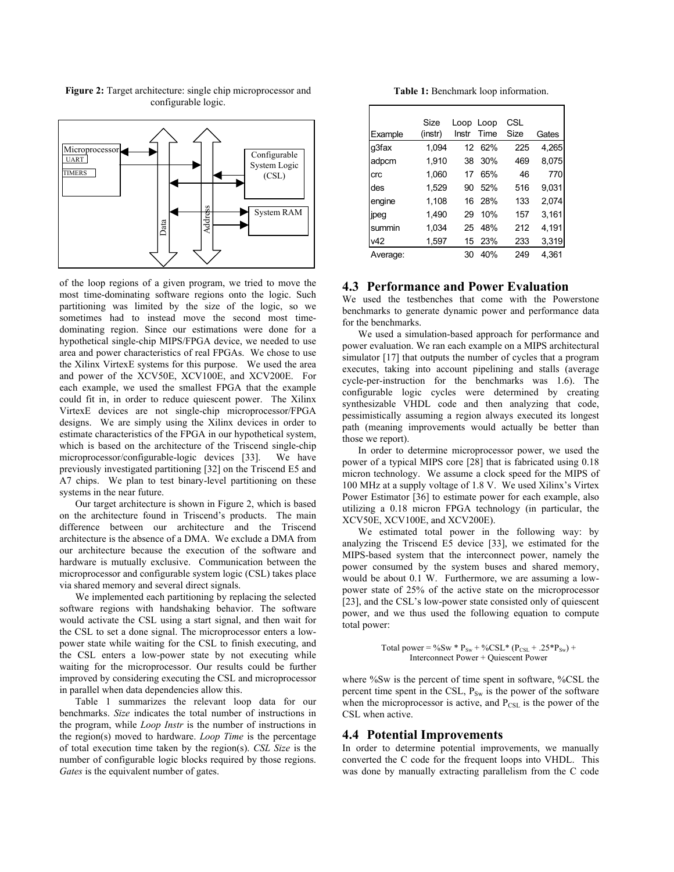

<span id="page-3-0"></span>**Figure 2:** Target architecture: single chip microprocessor and configurable logic.

of the loop regions of a given program, we tried to move the most time-dominating software regions onto the logic. Such partitioning was limited by the size of the logic, so we sometimes had to instead move the second most timedominating region. Since our estimations were done for a hypothetical single-chip MIPS/FPGA device, we needed to use area and power characteristics of real FPGAs. We chose to use the Xilinx VirtexE systems for this purpose. We used the area and power of the XCV50E, XCV100E, and XCV200E. For each example, we used the smallest FPGA that the example could fit in, in order to reduce quiescent power. The Xilinx VirtexE devices are not single-chip microprocessor/FPGA designs. We are simply using the Xilinx devices in order to estimate characteristics of the FPGA in our hypothetical system, which is based on the architecture of the Triscend single-chip microprocessor/configurable-logic devices [\[33\].](#page-6-7) We have previously investigated partitioning [\[32\]](#page-6-25) on the Triscend E5 and A7 chips. We plan to test binary-level partitioning on these systems in the near future.

Our target architecture is shown in [Figure 2,](#page-3-0) which is based on the architecture found in Triscend's products. The main difference between our architecture and the Triscend architecture is the absence of a DMA. We exclude a DMA from our architecture because the execution of the software and hardware is mutually exclusive. Communication between the microprocessor and configurable system logic (CSL) takes place via shared memory and several direct signals.

We implemented each partitioning by replacing the selected software regions with handshaking behavior. The software would activate the CSL using a start signal, and then wait for the CSL to set a done signal. The microprocessor enters a lowpower state while waiting for the CSL to finish executing, and the CSL enters a low-power state by not executing while waiting for the microprocessor. Our results could be further improved by considering executing the CSL and microprocessor in parallel when data dependencies allow this.

[Table 1](#page-3-1) summarizes the relevant loop data for our benchmarks. *Size* indicates the total number of instructions in the program, while *Loop Instr* is the number of instructions in the region(s) moved to hardware. *Loop Time* is the percentage of total execution time taken by the region(s). *CSL Size* is the number of configurable logic blocks required by those regions. *Gates* is the equivalent number of gates.

<span id="page-3-1"></span>**Table 1:** Benchmark loop information.

|          | Size    | Loop            | Loop        | <b>CSL</b> |       |
|----------|---------|-----------------|-------------|------------|-------|
| Example  | (instr) | Instr           | <b>Time</b> | Size       | Gates |
| q3fax    | 1.094   | 12 <sup>7</sup> | 62%         | 225        | 4.265 |
| adpcm    | 1,910   | 38              | 30%         | 469        | 8,075 |
| crc      | 1.060   | 17              | 65%         | 46         | 770   |
| des      | 1,529   | 90              | 52%         | 516        | 9.031 |
| engine   | 1.108   | 16              | 28%         | 133        | 2.074 |
| jpeg     | 1.490   | 29              | 10%         | 157        | 3.161 |
| summin   | 1.034   | 25              | 48%         | 212        | 4.191 |
| v42      | 1,597   | 15              | 23%         | 233        | 3,319 |
| Average: |         | 30              | 40%         | 249        | 4.361 |

# **4.3 Performance and Power Evaluation**

We used the testbenches that come with the Powerstone benchmarks to generate dynamic power and performance data for the benchmarks.

We used a simulation-based approach for performance and power evaluation. We ran each example on a MIPS architectural simulator [\[17\]](#page-6-32) that outputs the number of cycles that a program executes, taking into account pipelining and stalls (average cycle-per-instruction for the benchmarks was 1.6). The configurable logic cycles were determined by creating synthesizable VHDL code and then analyzing that code, pessimistically assuming a region always executed its longest path (meaning improvements would actually be better than those we report).

In order to determine microprocessor power, we used the power of a typical MIPS core [\[28\]](#page-6-33) that is fabricated using 0.18 micron technology. We assume a clock speed for the MIPS of 100 MHz at a supply voltage of 1.8 V. We used Xilinx's Virtex Power Estimator [\[36\] t](#page-6-34)o estimate power for each example, also utilizing a 0.18 micron FPGA technology (in particular, the XCV50E, XCV100E, and XCV200E).

We estimated total power in the following way: by analyzing the Triscend E5 device [\[33\],](#page-6-7) we estimated for the MIPS-based system that the interconnect power, namely the power consumed by the system buses and shared memory, would be about 0.1 W. Furthermore, we are assuming a lowpower state of 25% of the active state on the microprocessor [\[23\],](#page-6-35) and the CSL's low-power state consisted only of quiescent power, and we thus used the following equation to compute total power:

> Total power = %Sw \*  $P_{Sw}$  + %CSL\* ( $P_{CSL}$  + .25\* $P_{Sw}$ ) + Interconnect Power + Quiescent Power

where  $\%$ Sw is the percent of time spent in software,  $\%$ CSL the percent time spent in the CSL,  $P_{Sw}$  is the power of the software when the microprocessor is active, and  $P_{CSL}$  is the power of the CSL when active.

#### **4.4 Potential Improvements**

In order to determine potential improvements, we manually converted the C code for the frequent loops into VHDL. This was done by manually extracting parallelism from the C code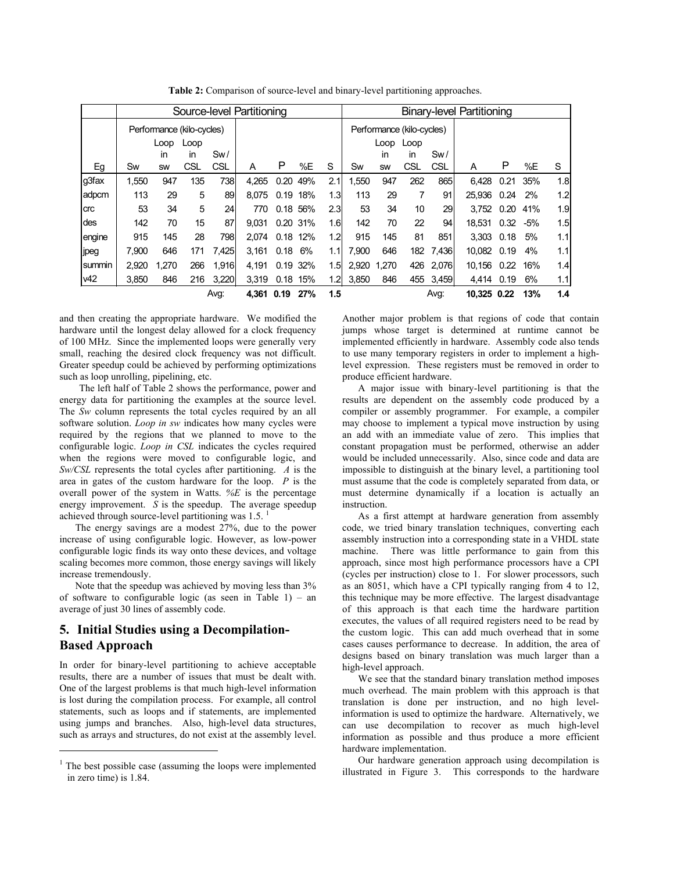|            | Source-level Partitioning |       |            |       |       |             |          |                  | <b>Binary-level Partitioning</b> |       |             |           |             |            |     |     |
|------------|---------------------------|-------|------------|-------|-------|-------------|----------|------------------|----------------------------------|-------|-------------|-----------|-------------|------------|-----|-----|
|            | Performance (kilo-cycles) |       |            |       |       |             |          |                  | Performance (kilo-cycles)        |       |             |           |             |            |     |     |
|            | Loop<br>Loop              |       |            |       |       |             |          |                  | Loop<br>Loop                     |       |             |           |             |            |     |     |
|            |                           | in    | in         | Sw/   |       |             |          |                  |                                  | in    | in          | Sw/       |             |            |     |     |
| Eg         | Sw                        | SW    | CSL        | CSL   | A     | P           | %E       | S                | Sw                               | SW    | CSL         | CSL       | A           | P          | %E  | S   |
| q3fax      | 1,550                     | 947   | 135        | 738   | 4,265 | 0.20        | 49%      | 2.1              | 1,550                            | 947   | 262         | 865       | 6,428       | 0.21       | 35% | 1.8 |
| adpcm      | 113                       | 29    | 5          | 89    | 8.075 |             | 0.19 18% | 1.3              | 113                              | 29    | 7           | 91        | 25.936      | 0.24       | 2%  | 1.2 |
| <b>crc</b> | 53                        | 34    | 5          | 24    | 770   |             | 0.18 56% | 2.3              | 53                               | 34    | 10          | 29        | 3.752       | 0.20       | 41% | 1.9 |
| des        | 142                       | 70    | 15         | 87    | 9.031 |             | 0.20 31% | 1.6              | 142                              | 70    | 22          | 94        | 18.531      | $0.32 -5%$ |     | 1.5 |
| engine     | 915                       | 145   | 28         | 798   | 2.074 |             | 0.18 12% | 1.2              | 915                              | 145   | 81          | 851       | 3.303       | 0.18       | 5%  | 1.1 |
| jpeg       | 7.900                     | 646   | 171        | 7.425 | 3.161 | $0.18\ 6\%$ |          | 1.1              | 7.900                            | 646   |             | 182 7.436 | 10.082 0.19 |            | 4%  | 1.1 |
| summin     | 2.920                     | 1,270 | 266        | 1,916 | 4,191 |             | 0.19 32% | 1.5              | 2,920                            | 1,270 | 426         | 2,076     | 10,156      | 0.22       | 16% | 1.4 |
| v42        | 3,850                     | 846   | 216        | 3,220 | 3,319 | 0.18        | 15%      | 1.2 <sub>l</sub> | 3.850                            | 846   | 455         | 3,459     | 4.414       | 0.19       | 6%  | 1.1 |
|            | Avg:                      |       | 4,361 0.19 |       | 27%   | 1.5         |          |                  |                                  | Avg:  | 10,325 0.22 |           | 13%         | 1.4        |     |     |

<span id="page-4-0"></span>**Table 2:** Comparison of source-level and binary-level partitioning approaches.

and then creating the appropriate hardware. We modified the hardware until the longest delay allowed for a clock frequency of 100 MHz. Since the implemented loops were generally very small, reaching the desired clock frequency was not difficult. Greater speedup could be achieved by performing optimizations such as loop unrolling, pipelining, etc.

The left half of [Table 2](#page-4-0) shows the performance, power and energy data for partitioning the examples at the source level. The *Sw* column represents the total cycles required by an all software solution. *Loop in sw* indicates how many cycles were required by the regions that we planned to move to the configurable logic. *Loop in CSL* indicates the cycles required when the regions were moved to configurable logic, and *Sw/CSL* represents the total cycles after partitioning. *A* is the area in gates of the custom hardware for the loop. *P* is the overall power of the system in Watts. *%E* is the percentage energy improvement. *S* is the speedup. The average speedup achieved through source-level partitioning was [1](#page-4-1).5.<sup>1</sup>

The energy savings are a modest 27%, due to the power increase of using configurable logic. However, as low-power configurable logic finds its way onto these devices, and voltage scaling becomes more common, those energy savings will likely increase tremendously.

Note that the speedup was achieved by moving less than 3% of software to configurable logic (as seen in [Table 1\)](#page-3-1) – an average of just 30 lines of assembly code.

# **5. Initial Studies using a Decompilation-Based Approach**

In order for binary-level partitioning to achieve acceptable results, there are a number of issues that must be dealt with. One of the largest problems is that much high-level information is lost during the compilation process. For example, all control statements, such as loops and if statements, are implemented using jumps and branches. Also, high-level data structures, such as arrays and structures, do not exist at the assembly level.

 $\overline{a}$ 

Another major problem is that regions of code that contain jumps whose target is determined at runtime cannot be implemented efficiently in hardware. Assembly code also tends to use many temporary registers in order to implement a highlevel expression. These registers must be removed in order to produce efficient hardware.

A major issue with binary-level partitioning is that the results are dependent on the assembly code produced by a compiler or assembly programmer. For example, a compiler may choose to implement a typical move instruction by using an add with an immediate value of zero. This implies that constant propagation must be performed, otherwise an adder would be included unnecessarily. Also, since code and data are impossible to distinguish at the binary level, a partitioning tool must assume that the code is completely separated from data, or must determine dynamically if a location is actually an instruction.

As a first attempt at hardware generation from assembly code, we tried binary translation techniques, converting each assembly instruction into a corresponding state in a VHDL state machine. There was little performance to gain from this approach, since most high performance processors have a CPI (cycles per instruction) close to 1. For slower processors, such as an 8051, which have a CPI typically ranging from 4 to 12, this technique may be more effective. The largest disadvantage of this approach is that each time the hardware partition executes, the values of all required registers need to be read by the custom logic. This can add much overhead that in some cases causes performance to decrease. In addition, the area of designs based on binary translation was much larger than a high-level approach.

We see that the standard binary translation method imposes much overhead. The main problem with this approach is that translation is done per instruction, and no high levelinformation is used to optimize the hardware. Alternatively, we can use decompilation to recover as much high-level information as possible and thus produce a more efficient hardware implementation.

Our hardware generation approach using decompilation is illustrated in [Figure 3.](#page-5-2) This corresponds to the hardware

<span id="page-4-1"></span><sup>1</sup> The best possible case (assuming the loops were implemented in zero time) is 1.84.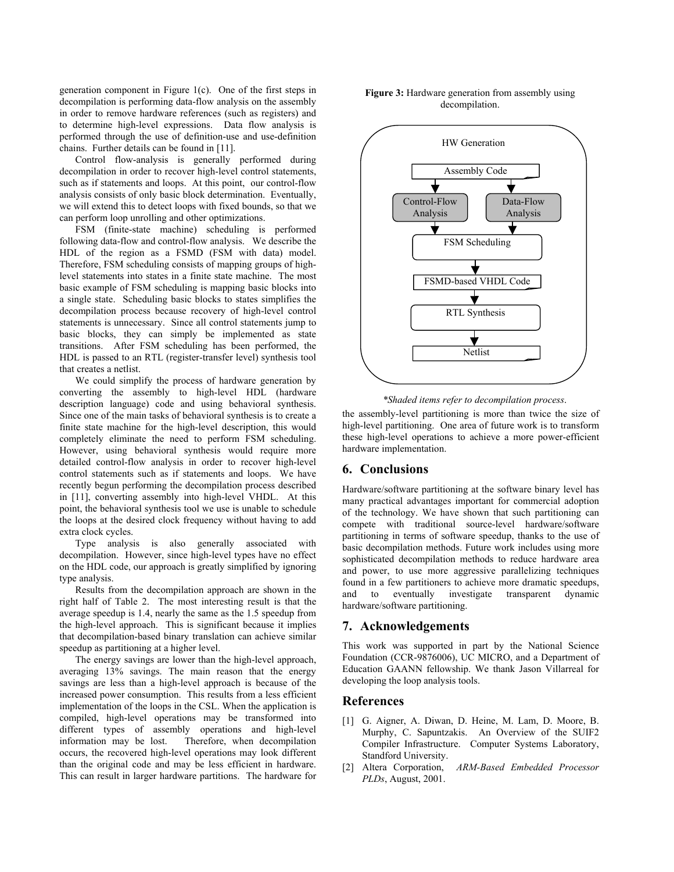generation component in [Figure 1\(](#page-1-0)c). One of the first steps in decompilation is performing data-flow analysis on the assembly in order to remove hardware references (such as registers) and to determine high-level expressions. Data flow analysis is performed through the use of definition-use and use-definition chains. Further details can be found in [\[11\].](#page-6-26)

Control flow-analysis is generally performed during decompilation in order to recover high-level control statements, such as if statements and loops. At this point, our control-flow analysis consists of only basic block determination. Eventually, we will extend this to detect loops with fixed bounds, so that we can perform loop unrolling and other optimizations.

FSM (finite-state machine) scheduling is performed following data-flow and control-flow analysis. We describe the HDL of the region as a FSMD (FSM with data) model. Therefore, FSM scheduling consists of mapping groups of highlevel statements into states in a finite state machine. The most basic example of FSM scheduling is mapping basic blocks into a single state. Scheduling basic blocks to states simplifies the decompilation process because recovery of high-level control statements is unnecessary. Since all control statements jump to basic blocks, they can simply be implemented as state transitions. After FSM scheduling has been performed, the HDL is passed to an RTL (register-transfer level) synthesis tool that creates a netlist.

We could simplify the process of hardware generation by converting the assembly to high-level HDL (hardware description language) code and using behavioral synthesis. Since one of the main tasks of behavioral synthesis is to create a finite state machine for the high-level description, this would completely eliminate the need to perform FSM scheduling. However, using behavioral synthesis would require more detailed control-flow analysis in order to recover high-level control statements such as if statements and loops. We have recently begun performing the decompilation process described in [\[11\],](#page-6-26) converting assembly into high-level VHDL. At this point, the behavioral synthesis tool we use is unable to schedule the loops at the desired clock frequency without having to add extra clock cycles.

Type analysis is also generally associated with decompilation. However, since high-level types have no effect on the HDL code, our approach is greatly simplified by ignoring type analysis.

Results from the decompilation approach are shown in the right half of [Table 2.](#page-4-0) The most interesting result is that the average speedup is 1.4, nearly the same as the 1.5 speedup from the high-level approach. This is significant because it implies that decompilation-based binary translation can achieve similar speedup as partitioning at a higher level.

The energy savings are lower than the high-level approach, averaging 13% savings. The main reason that the energy savings are less than a high-level approach is because of the increased power consumption. This results from a less efficient implementation of the loops in the CSL. When the application is compiled, high-level operations may be transformed into different types of assembly operations and high-level information may be lost. Therefore, when decompilation occurs, the recovered high-level operations may look different than the original code and may be less efficient in hardware. This can result in larger hardware partitions. The hardware for

<span id="page-5-2"></span>



*\*Shaded items refer to decompilation process*.

the assembly-level partitioning is more than twice the size of high-level partitioning. One area of future work is to transform these high-level operations to achieve a more power-efficient hardware implementation.

# **6. Conclusions**

Hardware/software partitioning at the software binary level has many practical advantages important for commercial adoption of the technology. We have shown that such partitioning can compete with traditional source-level hardware/software partitioning in terms of software speedup, thanks to the use of basic decompilation methods. Future work includes using more sophisticated decompilation methods to reduce hardware area and power, to use more aggressive parallelizing techniques found in a few partitioners to achieve more dramatic speedups, and to eventually investigate transparent dynamic hardware/software partitioning.

### **7. Acknowledgements**

This work was supported in part by the National Science Foundation (CCR-9876006), UC MICRO, and a Department of Education GAANN fellowship. We thank Jason Villarreal for developing the loop analysis tools.

#### **References**

- <span id="page-5-1"></span>[1] G. Aigner, A. Diwan, D. Heine, M. Lam, D. Moore, B. Murphy, C. Sapuntzakis. An Overview of the SUIF2 Compiler Infrastructure. Computer Systems Laboratory, Standford University.
- <span id="page-5-0"></span>[2] Altera Corporation, *ARM-Based Embedded Processor PLDs*, August, 2001.